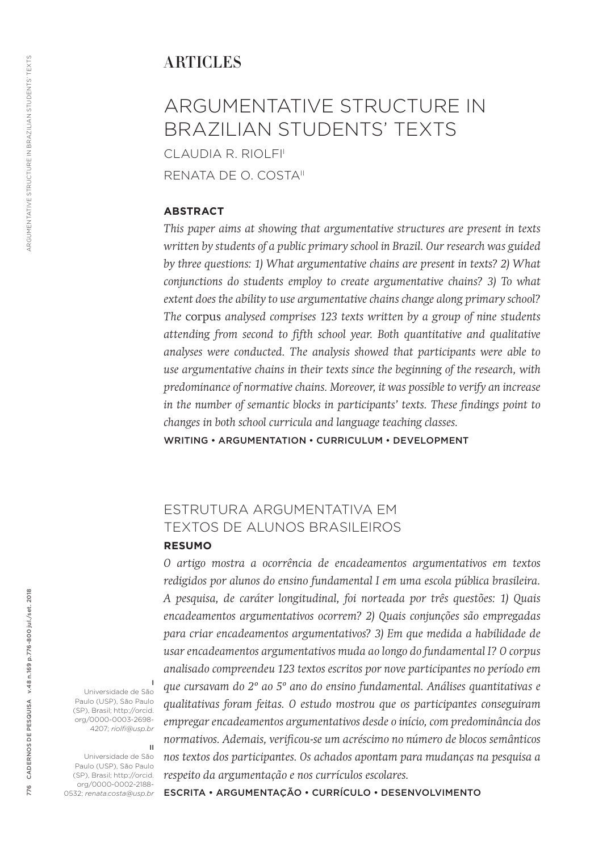## **ARTICLES**

# ARGUMENTATIVE STRUCTURE IN BRAZILIAN STUDENTS' TEXTS CLAUDIA R. RIOLFI<sup>I</sup>

RENATA DE O. COSTAII

### **ABSTRACT**

*This paper aims at showing that argumentative structures are present in texts written by students of a public primary school in Brazil. Our research was guided by three questions: 1) What argumentative chains are present in texts? 2) What conjunctions do students employ to create argumentative chains? 3) To what extent does the ability to use argumentative chains change along primary school? The* corpus *analysed comprises 123 texts written by a group of nine students attending from second to fifth school year. Both quantitative and qualitative analyses were conducted. The analysis showed that participants were able to use argumentative chains in their texts since the beginning of the research, with predominance of normative chains. Moreover, it was possible to verify an increase in the number of semantic blocks in participants' texts. These findings point to changes in both school curricula and language teaching classes.*

WRITING • ARGUMENTATION • CURRICULUM • DEVELOPMENT

## ESTRUTURA ARGUMENTATIVA EM TEXTOS DE ALUNOS BRASILEIROS

#### **RESUMO**

*O artigo mostra a ocorrência de encadeamentos argumentativos em textos redigidos por alunos do ensino fundamental I em uma escola pública brasileira. A pesquisa, de caráter longitudinal, foi norteada por três questões: 1) Quais encadeamentos argumentativos ocorrem? 2) Quais conjunções são empregadas para criar encadeamentos argumentativos? 3) Em que medida a habilidade de usar encadeamentos argumentativos muda ao longo do fundamental I? O corpus analisado compreendeu 123 textos escritos por nove participantes no período em que cursavam do 2º ao 5º ano do ensino fundamental. Análises quantitativas e qualitativas foram feitas. O estudo mostrou que os participantes conseguiram empregar encadeamentos argumentativos desde o início, com predominância dos normativos. Ademais, verificou-se um acréscimo no número de blocos semânticos nos textos dos participantes. Os achados apontam para mudanças na pesquisa a respeito da argumentação e nos currículos escolares.*

Universidade de São Paulo (USP), São Paulo (SP), Brasil; http://orcid. org/0000-0003-2698- 4207; *riolfi@usp.br*

I

II

Universidade de São Paulo (USP), São Paulo (SP), Brasil; http://orcid. org/0000-0002-2188- 0532; *renata.costa@usp.br*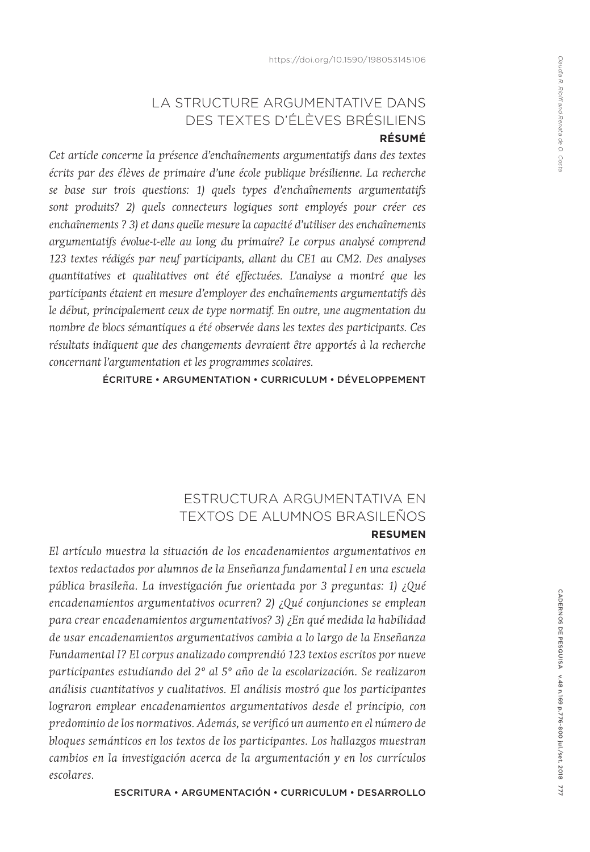# LA STRUCTURE ARGUMENTATIVE DANS DES TEXTES D'ÉLÈVES BRÉSILIENS

## **RÉSUMÉ**

*Cet article concerne la présence d'enchaînements argumentatifs dans des textes écrits par des élèves de primaire d'une école publique brésilienne. La recherche se base sur trois questions: 1) quels types d'enchaînements argumentatifs sont produits? 2) quels connecteurs logiques sont employés pour créer ces enchaînements ? 3) et dans quelle mesure la capacité d'utiliser des enchaînements argumentatifs évolue-t-elle au long du primaire? Le corpus analysé comprend 123 textes rédigés par neuf participants, allant du CE1 au CM2. Des analyses quantitatives et qualitatives ont été effectuées. L'analyse a montré que les participants étaient en mesure d'employer des enchaînements argumentatifs dès le début, principalement ceux de type normatif. En outre, une augmentation du nombre de blocs sémantiques a été observée dans les textes des participants. Ces résultats indiquent que des changements devraient être apportés à la recherche concernant l'argumentation et les programmes scolaires.* 

ÉCRITURE • ARGUMENTATION • CURRICULUM • DÉVELOPPEMENT

## ESTRUCTURA ARGUMENTATIVA EN TEXTOS DE ALUMNOS BRASILEÑOS **RESUMEN**

*El artículo muestra la situación de los encadenamientos argumentativos en textos redactados por alumnos de la Enseñanza fundamental I en una escuela pública brasileña. La investigación fue orientada por 3 preguntas: 1) ¿Qué encadenamientos argumentativos ocurren? 2) ¿Qué conjunciones se emplean para crear encadenamientos argumentativos? 3) ¿En qué medida la habilidad de usar encadenamientos argumentativos cambia a lo largo de la Enseñanza Fundamental I? El corpus analizado comprendió 123 textos escritos por nueve participantes estudiando del 2º al 5º año de la escolarización. Se realizaron análisis cuantitativos y cualitativos. El análisis mostró que los participantes lograron emplear encadenamientos argumentativos desde el principio, con predominio de los normativos. Además, se verificó un aumento en el número de bloques semánticos en los textos de los participantes. Los hallazgos muestran cambios en la investigación acerca de la argumentación y en los currículos escolares.*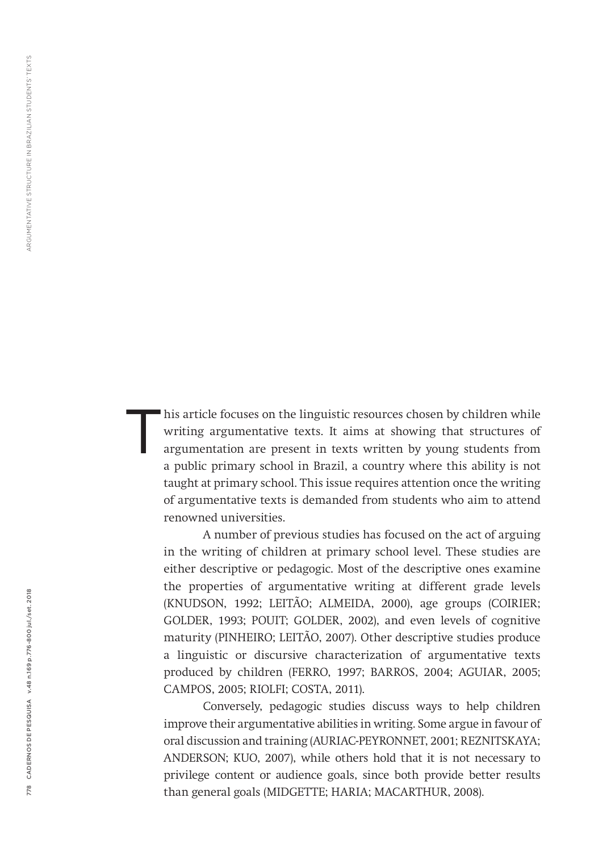his article focuses on the linguistic resources chosen by children while writing argumentative texts. It aims at showing that structures of argumentation are present in texts written by young students from a public primary school in Brazil, a country where this ability is not taught at primary school. This issue requires attention once the writing of argumentative texts is demanded from students who aim to attend renowned universities. T

A number of previous studies has focused on the act of arguing in the writing of children at primary school level. These studies are either descriptive or pedagogic. Most of the descriptive ones examine the properties of argumentative writing at different grade levels (KNUDSON, 1992; LEITÃO; ALMEIDA, 2000), age groups (COIRIER; GOLDER, 1993; POUIT; GOLDER, 2002), and even levels of cognitive maturity (PINHEIRO; LEITÃO, 2007). Other descriptive studies produce a linguistic or discursive characterization of argumentative texts produced by children (FERRO, 1997; BARROS, 2004; AGUIAR, 2005; CAMPOS, 2005; RIOLFI; COSTA, 2011).

Conversely, pedagogic studies discuss ways to help children improve their argumentative abilities in writing. Some argue in favour of oral discussion and training (AURIAC-PEYRONNET, 2001; REZNITSKAYA; ANDERSON; KUO, 2007), while others hold that it is not necessary to privilege content or audience goals, since both provide better results than general goals (MIDGETTE; HARIA; MACARTHUR, 2008).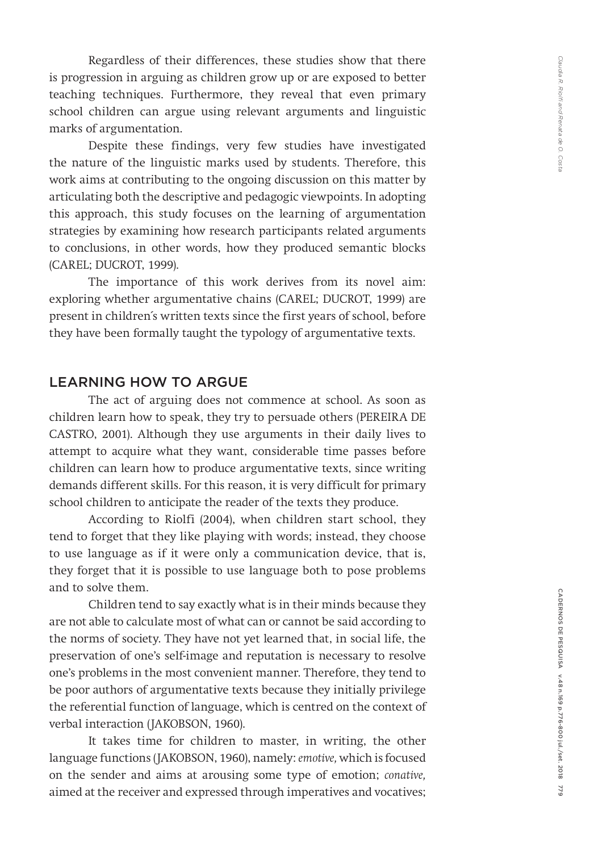Regardless of their differences, these studies show that there is progression in arguing as children grow up or are exposed to better teaching techniques. Furthermore, they reveal that even primary school children can argue using relevant arguments and linguistic marks of argumentation.

Despite these findings, very few studies have investigated the nature of the linguistic marks used by students. Therefore, this work aims at contributing to the ongoing discussion on this matter by articulating both the descriptive and pedagogic viewpoints. In adopting this approach, this study focuses on the learning of argumentation strategies by examining how research participants related arguments to conclusions, in other words, how they produced semantic blocks (CAREL; DUCROT, 1999).

The importance of this work derives from its novel aim: exploring whether argumentative chains (CAREL; DUCROT, 1999) are present in children´s written texts since the first years of school, before they have been formally taught the typology of argumentative texts.

## LEARNING HOW TO ARGUE

The act of arguing does not commence at school. As soon as children learn how to speak, they try to persuade others (PEREIRA DE CASTRO, 2001). Although they use arguments in their daily lives to attempt to acquire what they want, considerable time passes before children can learn how to produce argumentative texts, since writing demands different skills. For this reason, it is very difficult for primary school children to anticipate the reader of the texts they produce.

According to Riolfi (2004), when children start school, they tend to forget that they like playing with words; instead, they choose to use language as if it were only a communication device, that is, they forget that it is possible to use language both to pose problems and to solve them.

Children tend to say exactly what is in their minds because they are not able to calculate most of what can or cannot be said according to the norms of society. They have not yet learned that, in social life, the preservation of one's self-image and reputation is necessary to resolve one's problems in the most convenient manner. Therefore, they tend to be poor authors of argumentative texts because they initially privilege the referential function of language, which is centred on the context of verbal interaction (JAKOBSON, 1960).

It takes time for children to master, in writing, the other language functions (JAKOBSON, 1960), namely: *emotive,* which is focused on the sender and aims at arousing some type of emotion; *conative,*  aimed at the receiver and expressed through imperatives and vocatives;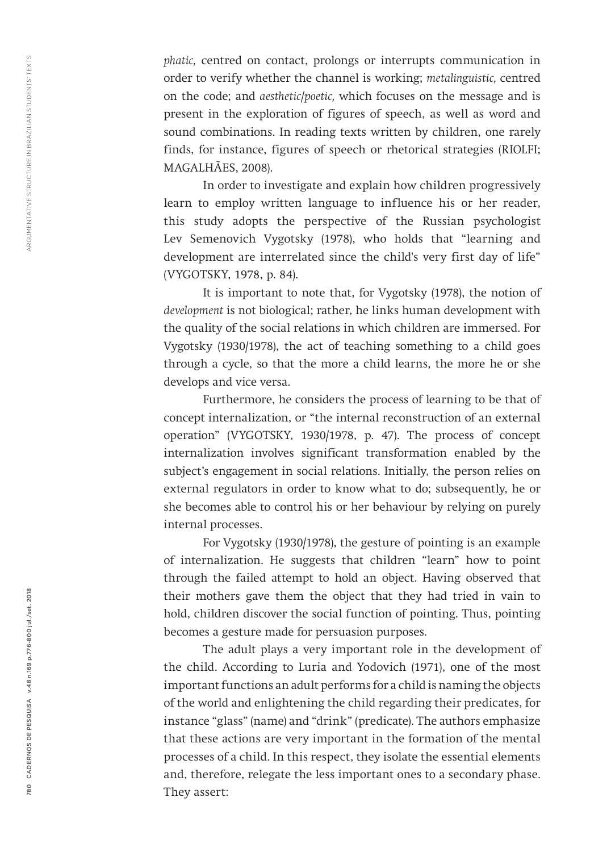*phatic,* centred on contact, prolongs or interrupts communication in order to verify whether the channel is working; *metalinguistic,* centred on the code; and *aesthetic/poetic,* which focuses on the message and is present in the exploration of figures of speech, as well as word and sound combinations. In reading texts written by children, one rarely finds, for instance, figures of speech or rhetorical strategies (RIOLFI; MAGALHÃES, 2008).

In order to investigate and explain how children progressively learn to employ written language to influence his or her reader, this study adopts the perspective of the Russian psychologist Lev Semenovich Vygotsky (1978), who holds that "learning and development are interrelated since the child's very first day of life" (VYGOTSKY, 1978, p. 84).

It is important to note that, for Vygotsky (1978), the notion of *development* is not biological; rather, he links human development with the quality of the social relations in which children are immersed. For Vygotsky (1930/1978), the act of teaching something to a child goes through a cycle, so that the more a child learns, the more he or she develops and vice versa.

Furthermore, he considers the process of learning to be that of concept internalization, or "the internal reconstruction of an external operation" (VYGOTSKY, 1930/1978, p. 47). The process of concept internalization involves significant transformation enabled by the subject's engagement in social relations. Initially, the person relies on external regulators in order to know what to do; subsequently, he or she becomes able to control his or her behaviour by relying on purely internal processes.

For Vygotsky (1930/1978), the gesture of pointing is an example of internalization. He suggests that children "learn" how to point through the failed attempt to hold an object. Having observed that their mothers gave them the object that they had tried in vain to hold, children discover the social function of pointing. Thus, pointing becomes a gesture made for persuasion purposes.

The adult plays a very important role in the development of the child. According to Luria and Yodovich (1971), one of the most important functions an adult performs for a child is naming the objects of the world and enlightening the child regarding their predicates, for instance "glass" (name) and "drink" (predicate). The authors emphasize that these actions are very important in the formation of the mental processes of a child. In this respect, they isolate the essential elements and, therefore, relegate the less important ones to a secondary phase. They assert: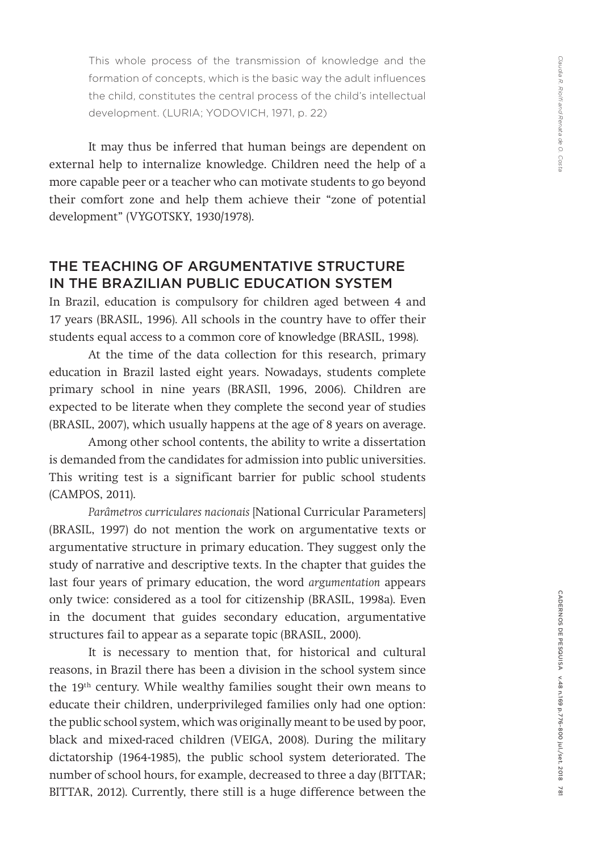This whole process of the transmission of knowledge and the formation of concepts, which is the basic way the adult influences the child, constitutes the central process of the child's intellectual development. (LURIA; YODOVICH, 1971, p. 22)

It may thus be inferred that human beings are dependent on external help to internalize knowledge. Children need the help of a more capable peer or a teacher who can motivate students to go beyond their comfort zone and help them achieve their "zone of potential development" (VYGOTSKY, 1930/1978).

## THE TEACHING OF ARGUMENTATIVE STRUCTURE IN THE BRAZILIAN PUBLIC EDUCATION SYSTEM

In Brazil, education is compulsory for children aged between 4 and 17 years (BRASIL, 1996). All schools in the country have to offer their students equal access to a common core of knowledge (BRASIL, 1998).

At the time of the data collection for this research, primary education in Brazil lasted eight years. Nowadays, students complete primary school in nine years (BRASIl, 1996, 2006). Children are expected to be literate when they complete the second year of studies (BRASIL, 2007), which usually happens at the age of 8 years on average.

Among other school contents, the ability to write a dissertation is demanded from the candidates for admission into public universities. This writing test is a significant barrier for public school students (CAMPOS, 2011).

*Parâmetros curriculares nacionais* [National Curricular Parameters] (BRASIL, 1997) do not mention the work on argumentative texts or argumentative structure in primary education. They suggest only the study of narrative and descriptive texts. In the chapter that guides the last four years of primary education, the word *argumentation* appears only twice: considered as a tool for citizenship (BRASIL, 1998a). Even in the document that guides secondary education, argumentative structures fail to appear as a separate topic (BRASIL, 2000).

It is necessary to mention that, for historical and cultural reasons, in Brazil there has been a division in the school system since the 19th century. While wealthy families sought their own means to educate their children, underprivileged families only had one option: the public school system, which was originally meant to be used by poor, black and mixed-raced children (VEIGA, 2008). During the military dictatorship (1964-1985), the public school system deteriorated. The number of school hours, for example, decreased to three a day (BITTAR; BITTAR, 2012). Currently, there still is a huge difference between the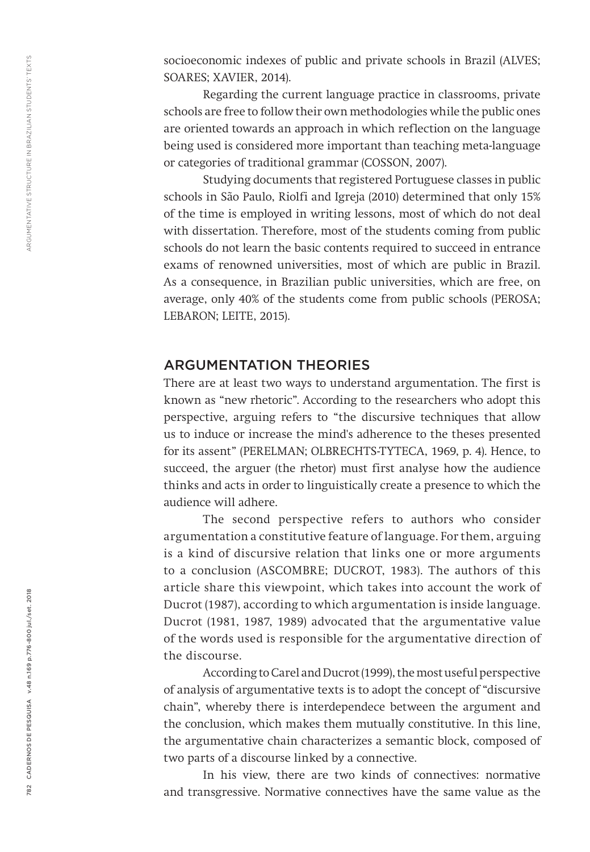socioeconomic indexes of public and private schools in Brazil (ALVES; SOARES; XAVIER, 2014).

Regarding the current language practice in classrooms, private schools are free to follow their own methodologies while the public ones are oriented towards an approach in which reflection on the language being used is considered more important than teaching meta-language or categories of traditional grammar (COSSON, 2007).

Studying documents that registered Portuguese classes in public schools in São Paulo, Riolfi and Igreja (2010) determined that only 15% of the time is employed in writing lessons, most of which do not deal with dissertation. Therefore, most of the students coming from public schools do not learn the basic contents required to succeed in entrance exams of renowned universities, most of which are public in Brazil. As a consequence, in Brazilian public universities, which are free, on average, only 40% of the students come from public schools (PEROSA; LEBARON; LEITE, 2015).

## ARGUMENTATION THEORIES

There are at least two ways to understand argumentation. The first is known as "new rhetoric". According to the researchers who adopt this perspective, arguing refers to "the discursive techniques that allow us to induce or increase the mind's adherence to the theses presented for its assent" (PERELMAN; OLBRECHTS-TYTECA, 1969, p. 4). Hence, to succeed, the arguer (the rhetor) must first analyse how the audience thinks and acts in order to linguistically create a presence to which the audience will adhere.

The second perspective refers to authors who consider argumentation a constitutive feature of language. For them, arguing is a kind of discursive relation that links one or more arguments to a conclusion (ASCOMBRE; DUCROT, 1983). The authors of this article share this viewpoint, which takes into account the work of Ducrot (1987), according to which argumentation is inside language. Ducrot (1981, 1987, 1989) advocated that the argumentative value of the words used is responsible for the argumentative direction of the discourse.

According to Carel and Ducrot (1999), the most useful perspective of analysis of argumentative texts is to adopt the concept of "discursive chain", whereby there is interdependece between the argument and the conclusion, which makes them mutually constitutive. In this line, the argumentative chain characterizes a semantic block, composed of two parts of a discourse linked by a connective.

In his view, there are two kinds of connectives: normative and transgressive. Normative connectives have the same value as the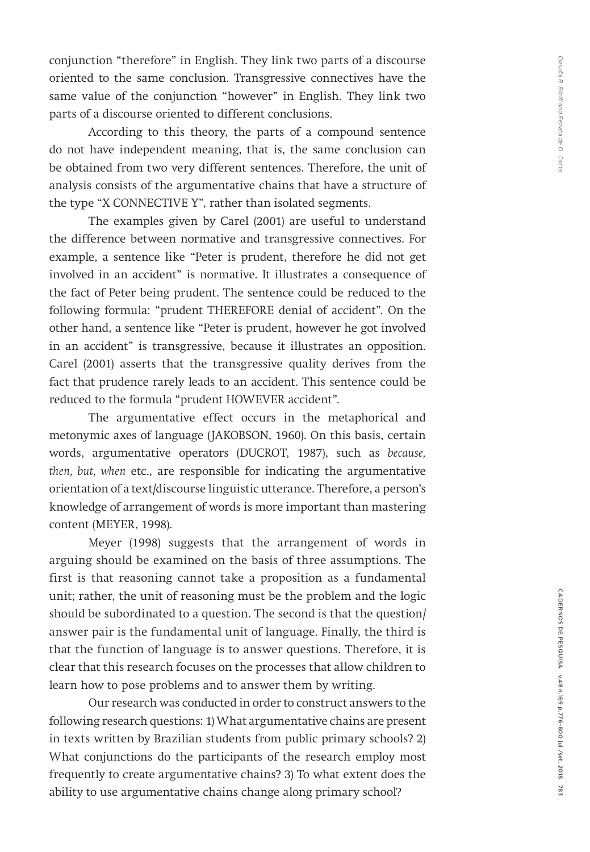conjunction "therefore" in English. They link two parts of a discourse oriented to the same conclusion. Transgressive connectives have the same value of the conjunction "however" in English. They link two parts of a discourse oriented to different conclusions.

According to this theory, the parts of a compound sentence do not have independent meaning, that is, the same conclusion can be obtained from two very different sentences. Therefore, the unit of analysis consists of the argumentative chains that have a structure of the type "X CONNECTIVE Y", rather than isolated segments.

The examples given by Carel (2001) are useful to understand the difference between normative and transgressive connectives. For example, a sentence like "Peter is prudent, therefore he did not get involved in an accident" is normative. It illustrates a consequence of the fact of Peter being prudent. The sentence could be reduced to the following formula: "prudent THEREFORE denial of accident". On the other hand, a sentence like "Peter is prudent, however he got involved in an accident" is transgressive, because it illustrates an opposition. Carel (2001) asserts that the transgressive quality derives from the fact that prudence rarely leads to an accident. This sentence could be reduced to the formula "prudent HOWEVER accident".

The argumentative effect occurs in the metaphorical and metonymic axes of language (JAKOBSON, 1960). On this basis, certain words, argumentative operators (DUCROT, 1987), such as *because, then, but, when* etc., are responsible for indicating the argumentative orientation of a text/discourse linguistic utterance. Therefore, a person's knowledge of arrangement of words is more important than mastering content (MEYER, 1998).

Meyer (1998) suggests that the arrangement of words in arguing should be examined on the basis of three assumptions. The first is that reasoning cannot take a proposition as a fundamental unit; rather, the unit of reasoning must be the problem and the logic should be subordinated to a question. The second is that the question/ answer pair is the fundamental unit of language. Finally, the third is that the function of language is to answer questions. Therefore, it is clear that this research focuses on the processes that allow children to learn how to pose problems and to answer them by writing.

Our research was conducted in order to construct answers to the following research questions: 1) What argumentative chains are present in texts written by Brazilian students from public primary schools? 2) What conjunctions do the participants of the research employ most frequently to create argumentative chains? 3) To what extent does the ability to use argumentative chains change along primary school?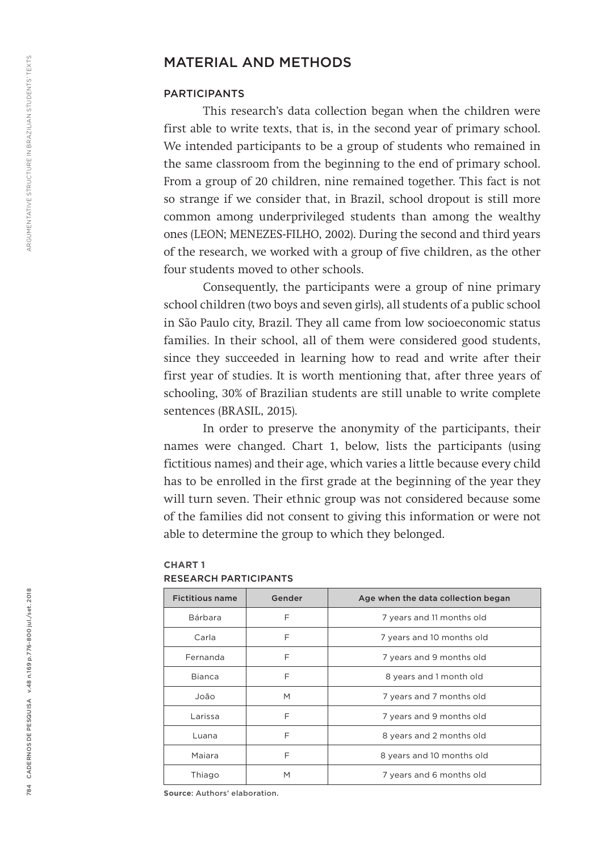## MATERIAL AND METHODS

### PARTICIPANTS

This research's data collection began when the children were first able to write texts, that is, in the second year of primary school. We intended participants to be a group of students who remained in the same classroom from the beginning to the end of primary school. From a group of 20 children, nine remained together. This fact is not so strange if we consider that, in Brazil, school dropout is still more common among underprivileged students than among the wealthy ones (LEON; MENEZES-FILHO, 2002). During the second and third years of the research, we worked with a group of five children, as the other four students moved to other schools.

Consequently, the participants were a group of nine primary school children (two boys and seven girls), all students of a public school in São Paulo city, Brazil. They all came from low socioeconomic status families. In their school, all of them were considered good students, since they succeeded in learning how to read and write after their first year of studies. It is worth mentioning that, after three years of schooling, 30% of Brazilian students are still unable to write complete sentences (BRASIL, 2015).

In order to preserve the anonymity of the participants, their names were changed. Chart 1, below, lists the participants (using fictitious names) and their age, which varies a little because every child has to be enrolled in the first grade at the beginning of the year they will turn seven. Their ethnic group was not considered because some of the families did not consent to giving this information or were not able to determine the group to which they belonged.

| <b>Fictitious name</b> | Gender | Age when the data collection began |
|------------------------|--------|------------------------------------|
| Bárbara                | F      | 7 years and 11 months old          |
| Carla                  | F      | 7 years and 10 months old          |
| Fernanda               | F      | 7 years and 9 months old           |
| Bianca                 | F      | 8 years and 1 month old            |
| João                   | M      | 7 years and 7 months old           |
| Larissa                | F      | 7 years and 9 months old           |
| Luana                  | F      | 8 years and 2 months old           |
| Majara                 | F      | 8 years and 10 months old          |
| Thiago                 | M      | 7 years and 6 months old           |

## RESEARCH PARTICIPANTS

**CHART 1**

**Source**: Authors' elaboration.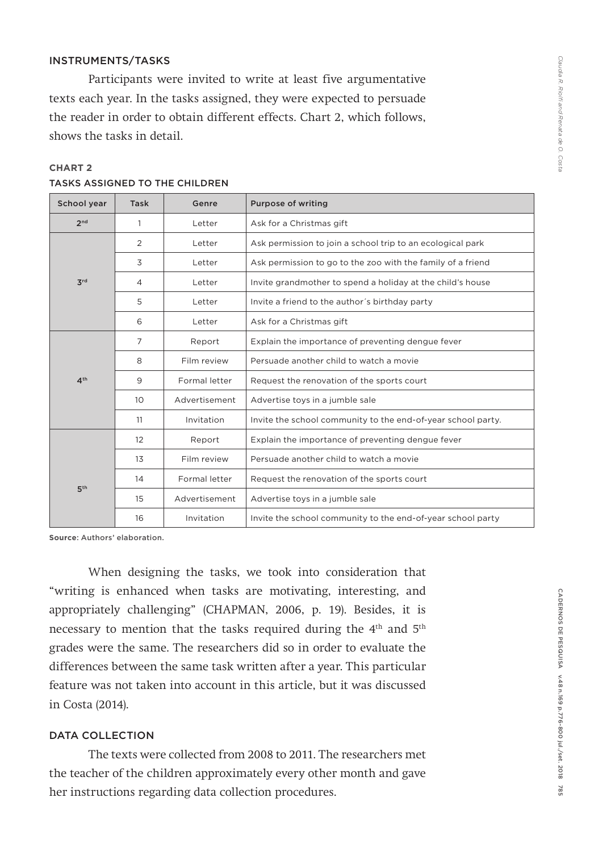## INSTRUMENTS/TASKS

Participants were invited to write at least five argumentative texts each year. In the tasks assigned, they were expected to persuade the reader in order to obtain different effects. Chart 2, which follows, shows the tasks in detail.

| School year     | <b>Task</b>     | Genre         | <b>Purpose of writing</b>                                    |
|-----------------|-----------------|---------------|--------------------------------------------------------------|
| 2 <sub>nd</sub> | 1               | Letter        | Ask for a Christmas gift                                     |
|                 | 2               | Letter        | Ask permission to join a school trip to an ecological park   |
|                 | 3               | Letter        | Ask permission to go to the zoo with the family of a friend  |
| $\mathbf{Z}$ rd | 4               | Letter        | Invite grandmother to spend a holiday at the child's house   |
|                 | 5               | Letter        | Invite a friend to the author's birthday party               |
|                 | 6               | Letter        | Ask for a Christmas gift                                     |
|                 | 7               | Report        | Explain the importance of preventing dengue fever            |
|                 | 8               | Film review   | Persuade another child to watch a movie                      |
| 4 <sup>th</sup> | 9               | Formal letter | Request the renovation of the sports court                   |
|                 | 10 <sup>°</sup> | Advertisement | Advertise toys in a jumble sale                              |
|                 | 11              | Invitation    | Invite the school community to the end-of-year school party. |
|                 | 12              | Report        | Explain the importance of preventing dengue fever            |
|                 | 13              | Film review   | Persuade another child to watch a movie                      |
|                 | 14              | Formal letter | Request the renovation of the sports court                   |
| 5 <sup>th</sup> | 15              | Advertisement | Advertise toys in a jumble sale                              |
|                 | 16              | Invitation    | Invite the school community to the end-of-year school party  |

## **CHART 2** TASKS ASSIGNED TO THE CHILDREN

**Source**: Authors' elaboration.

When designing the tasks, we took into consideration that "writing is enhanced when tasks are motivating, interesting, and appropriately challenging" (CHAPMAN, 2006, p. 19). Besides, it is necessary to mention that the tasks required during the 4th and 5th grades were the same. The researchers did so in order to evaluate the differences between the same task written after a year. This particular feature was not taken into account in this article, but it was discussed in Costa (2014).

### DATA COLLECTION

The texts were collected from 2008 to 2011. The researchers met the teacher of the children approximately every other month and gave her instructions regarding data collection procedures.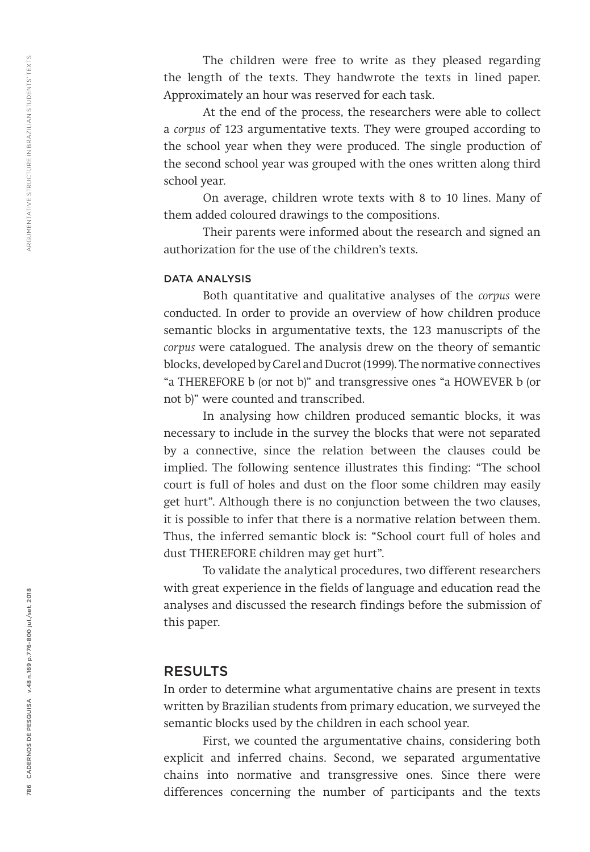The children were free to write as they pleased regarding the length of the texts. They handwrote the texts in lined paper. Approximately an hour was reserved for each task.

At the end of the process, the researchers were able to collect a *corpus* of 123 argumentative texts. They were grouped according to the school year when they were produced. The single production of the second school year was grouped with the ones written along third school year.

On average, children wrote texts with 8 to 10 lines. Many of them added coloured drawings to the compositions.

Their parents were informed about the research and signed an authorization for the use of the children's texts.

#### DATA ANALYSIS

Both quantitative and qualitative analyses of the *corpus* were conducted. In order to provide an overview of how children produce semantic blocks in argumentative texts, the 123 manuscripts of the *corpus* were catalogued. The analysis drew on the theory of semantic blocks, developed by Carel and Ducrot (1999). The normative connectives "a THEREFORE b (or not b)" and transgressive ones "a HOWEVER b (or not b)" were counted and transcribed.

In analysing how children produced semantic blocks, it was necessary to include in the survey the blocks that were not separated by a connective, since the relation between the clauses could be implied. The following sentence illustrates this finding: "The school court is full of holes and dust on the floor some children may easily get hurt". Although there is no conjunction between the two clauses, it is possible to infer that there is a normative relation between them. Thus, the inferred semantic block is: "School court full of holes and dust THEREFORE children may get hurt".

To validate the analytical procedures, two different researchers with great experience in the fields of language and education read the analyses and discussed the research findings before the submission of this paper.

## RESULTS

In order to determine what argumentative chains are present in texts written by Brazilian students from primary education, we surveyed the semantic blocks used by the children in each school year.

First, we counted the argumentative chains, considering both explicit and inferred chains. Second, we separated argumentative chains into normative and transgressive ones. Since there were differences concerning the number of participants and the texts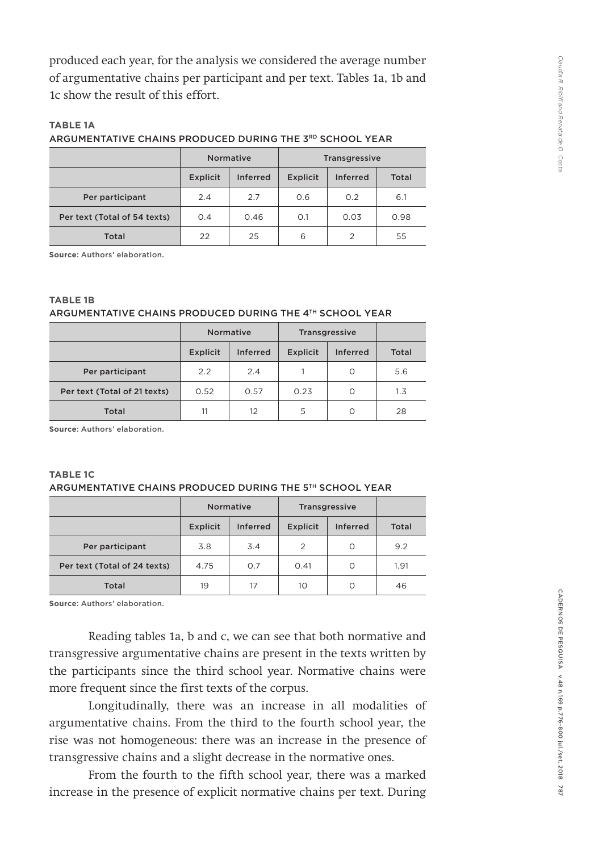produced each year, for the analysis we considered the average number of argumentative chains per participant and per text. Tables 1a, 1b and 1c show the result of this effort.

## **TABLE 1A** ARGUMENTATIVE CHAINS PRODUCED DURING THE 3RD SCHOOL YEAR

|                              |                                    | <b>Normative</b> | <b>Transgressive</b> |                |       |
|------------------------------|------------------------------------|------------------|----------------------|----------------|-------|
|                              | <b>Inferred</b><br><b>Explicit</b> |                  | <b>Explicit</b>      | Inferred       | Total |
| Per participant              | 2.4                                | 2.7              | O.6                  | O.2            | 6.1   |
| Per text (Total of 54 texts) | 0.4                                | 0.46             | 0.1                  | 0.03           | 0.98  |
| Total                        | 22                                 | 25               | 6                    | $\overline{2}$ | 55    |

**Source**: Authors' elaboration.

| <b>TABLE 1B</b>                                          |  |
|----------------------------------------------------------|--|
| ARGUMENTATIVE CHAINS PRODUCED DURING THE 4TH SCHOOL YEAR |  |

|                              |          | Normative       | <b>Transgressive</b> |                 |       |
|------------------------------|----------|-----------------|----------------------|-----------------|-------|
|                              | Explicit | <b>Inferred</b> | Explicit             | <b>Inferred</b> | Total |
| Per participant              | 2.2      | 2.4             |                      | O               | 5.6   |
| Per text (Total of 21 texts) | 0.52     | 0.57            | 0.23                 | O               | 1.3   |
| Total                        | 11       | 12              | 5                    | O               | 28    |

**Source**: Authors' elaboration.

#### **TABLE 1C** ARGUMENTATIVE CHAINS PRODUCED DURING THE 5TH SCHOOL YEAR

|                              |                 | <b>Normative</b> | <b>Transgressive</b> |                 |       |
|------------------------------|-----------------|------------------|----------------------|-----------------|-------|
|                              | <b>Explicit</b> | <b>Inferred</b>  | <b>Explicit</b>      | <b>Inferred</b> | Total |
| Per participant              | 3.8             | 3.4              | 2                    | O               | 9.2   |
| Per text (Total of 24 texts) | 4.75            | O.7              | 0.41                 | $\Omega$        | 1.91  |
| Total                        | 19              | 17               | 10                   | O               | 46    |

**Source**: Authors' elaboration.

Reading tables 1a, b and c, we can see that both normative and transgressive argumentative chains are present in the texts written by the participants since the third school year. Normative chains were more frequent since the first texts of the corpus.

Longitudinally, there was an increase in all modalities of argumentative chains. From the third to the fourth school year, the rise was not homogeneous: there was an increase in the presence of transgressive chains and a slight decrease in the normative ones.

From the fourth to the fifth school year, there was a marked increase in the presence of explicit normative chains per text. During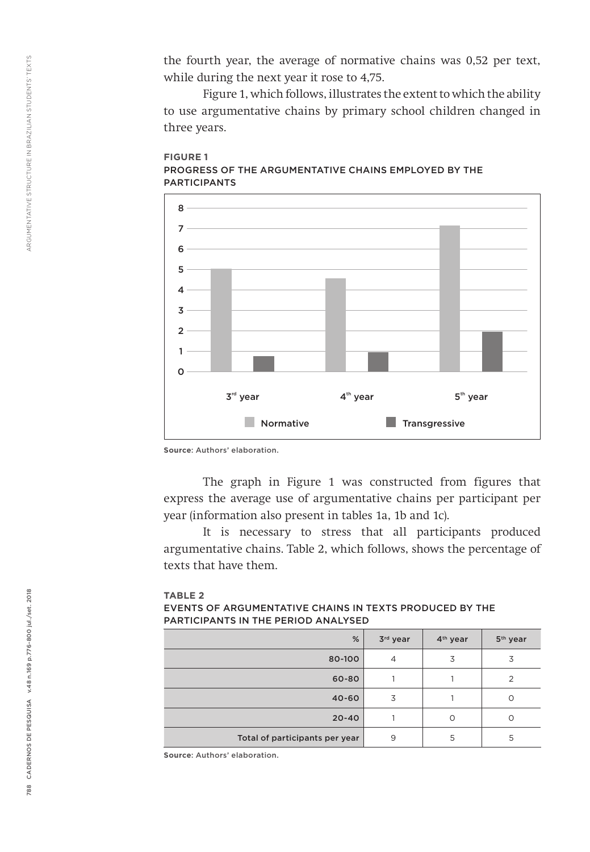the fourth year, the average of normative chains was 0,52 per text, while during the next year it rose to 4,75.

Figure 1, which follows, illustrates the extent to which the ability to use argumentative chains by primary school children changed in three years.



#### **FIGURE 1** PROGRESS OF THE ARGUMENTATIVE CHAINS EMPLOYED BY THE PARTICIPANTS

**Source**: Authors' elaboration.

The graph in Figure 1 was constructed from figures that express the average use of argumentative chains per participant per year (information also present in tables 1a, 1b and 1c).

It is necessary to stress that all participants produced argumentative chains. Table 2, which follows, shows the percentage of texts that have them.

#### **TABLE 2** EVENTS OF ARGUMENTATIVE CHAINS IN TEXTS PRODUCED BY THE PARTICIPANTS IN THE PERIOD ANALYSED

| %                              | 3rd year       | 4 <sup>th</sup> year | 5 <sup>th</sup> year |
|--------------------------------|----------------|----------------------|----------------------|
| 80-100                         | $\overline{4}$ | 3                    | 3                    |
| 60-80                          |                |                      | ◠                    |
| $40 - 60$                      | 3              |                      |                      |
| $20 - 40$                      |                | ∩                    | ∩                    |
| Total of participants per year | 9              | 5                    | 5                    |

**Source**: Authors' elaboration.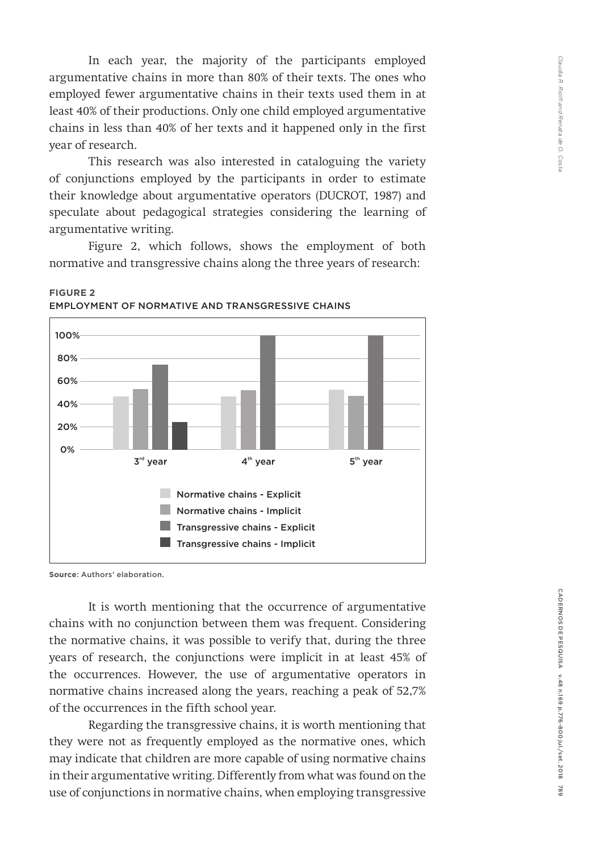In each year, the majority of the participants employed argumentative chains in more than 80% of their texts. The ones who employed fewer argumentative chains in their texts used them in at least 40% of their productions. Only one child employed argumentative chains in less than 40% of her texts and it happened only in the first year of research.

This research was also interested in cataloguing the variety of conjunctions employed by the participants in order to estimate their knowledge about argumentative operators (DUCROT, 1987) and speculate about pedagogical strategies considering the learning of argumentative writing.

Figure 2, which follows, shows the employment of both normative and transgressive chains along the three years of research:



**FIGURE 2** EMPLOYMENT OF NORMATIVE AND TRANSGRESSIVE CHAINS

**Source**: Authors' elaboration.

It is worth mentioning that the occurrence of argumentative chains with no conjunction between them was frequent. Considering the normative chains, it was possible to verify that, during the three years of research, the conjunctions were implicit in at least 45% of the occurrences. However, the use of argumentative operators in normative chains increased along the years, reaching a peak of 52,7% of the occurrences in the fifth school year.

Regarding the transgressive chains, it is worth mentioning that they were not as frequently employed as the normative ones, which may indicate that children are more capable of using normative chains in their argumentative writing. Differently from what was found on the use of conjunctions in normative chains, when employing transgressive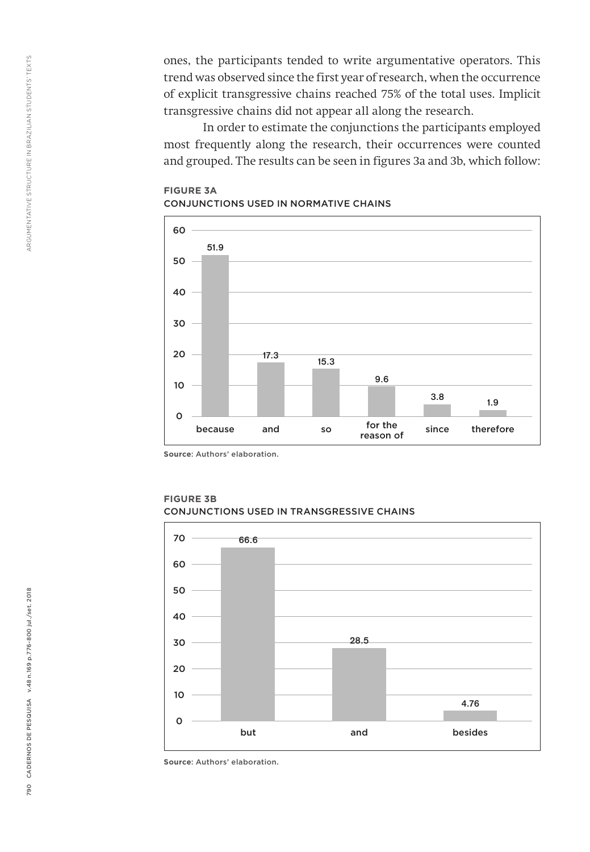ones, the participants tended to write argumentative operators. This trend was observed since the first year of research, when the occurrence of explicit transgressive chains reached 75% of the total uses. Implicit transgressive chains did not appear all along the research.

In order to estimate the conjunctions the participants employed most frequently along the research, their occurrences were counted and grouped. The results can be seen in figures 3a and 3b, which follow:

### **FIGURE 3A** CONJUNCTIONS USED IN NORMATIVE CHAINS



**Source**: Authors' elaboration.



**FIGURE 3B** CONJUNCTIONS USED IN TRANSGRESSIVE CHAINS

**Source**: Authors' elaboration.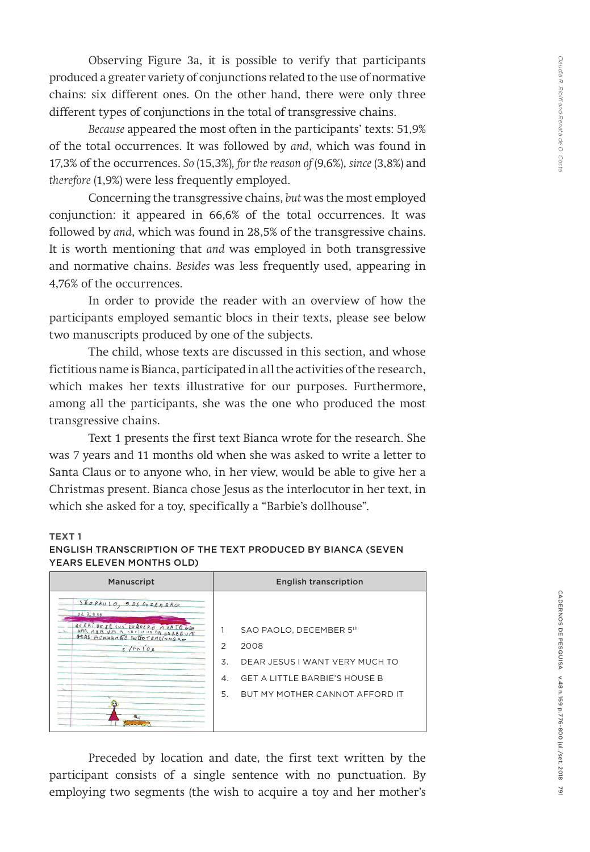Observing Figure 3a, it is possible to verify that participants produced a greater variety of conjunctions related to the use of normative chains: six different ones. On the other hand, there were only three different types of conjunctions in the total of transgressive chains.

*Because* appeared the most often in the participants' texts: 51,9% of the total occurrences. It was followed by *and*, which was found in 17,3% of the occurrences. *So* (15,3%)*, for the reason of* (9,6%), *since* (3,8%) and *therefore* (1,9%) were less frequently employed.

Concerning the transgressive chains, *but* was the most employed conjunction: it appeared in 66,6% of the total occurrences. It was followed by *and*, which was found in 28,5% of the transgressive chains. It is worth mentioning that *and* was employed in both transgressive and normative chains. *Besides* was less frequently used, appearing in 4,76% of the occurrences.

In order to provide the reader with an overview of how the participants employed semantic blocs in their texts, please see below two manuscripts produced by one of the subjects.

The child, whose texts are discussed in this section, and whose fictitious name is Bianca, participated in all the activities of the research, which makes her texts illustrative for our purposes. Furthermore, among all the participants, she was the one who produced the most transgressive chains.

Text 1 presents the first text Bianca wrote for the research. She was 7 years and 11 months old when she was asked to write a letter to Santa Claus or to anyone who, in her view, would be able to give her a Christmas present. Bianca chose Jesus as the interlocutor in her text, in which she asked for a toy, specifically a "Barbie's dollhouse".

#### **TEXT 1**

#### ENGLISH TRANSCRIPTION OF THE TEXT PRODUCED BY BIANCA (SEVEN YEARS ELEVEN MONTHS OLD)

| Manuscript                                                                                                       |                                              | <b>English transcription</b>                                                                                                                |
|------------------------------------------------------------------------------------------------------------------|----------------------------------------------|---------------------------------------------------------------------------------------------------------------------------------------------|
| SÃOPAULO, 5 DE DEZEMBRO<br>062008<br>QUERIDOJESUS EURUERO MUNJOGAN<br>HAR AUM UM A CACINUS DA BARBEUM<br>5/5/106 | $\mathfrak{D}$<br>3<br>$\mathcal{A}$ .<br>5. | SAO PAOLO. DECEMBER 5th<br>2008<br>DEAR JESUS I WANT VERY MUCH TO<br><b>GET A LITTLE BARBIE'S HOUSE B</b><br>BUT MY MOTHER CANNOT AFFORD IT |
| $a_{\alpha'}$<br>man                                                                                             |                                              |                                                                                                                                             |

Preceded by location and date, the first text written by the participant consists of a single sentence with no punctuation. By employing two segments (the wish to acquire a toy and her mother's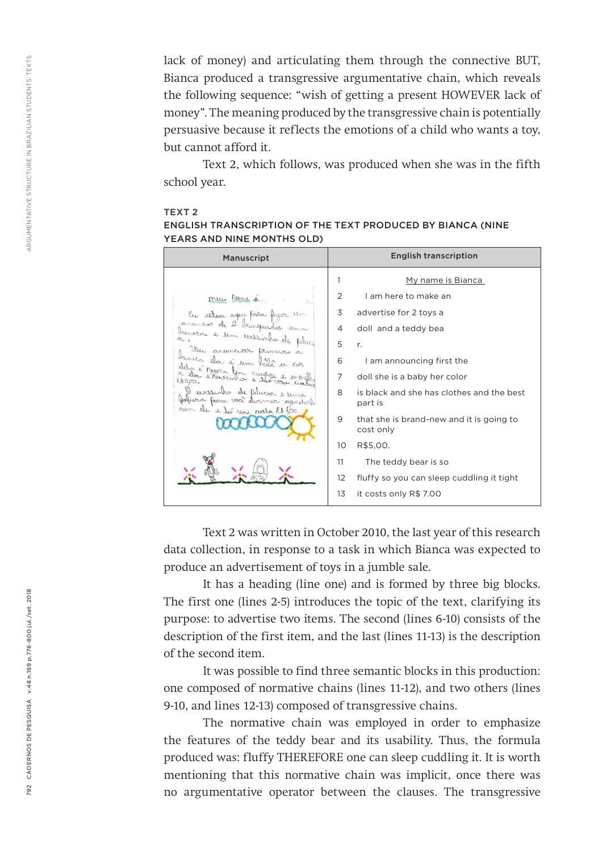lack of money) and articulating them through the connective BUT, Bianca produced a transgressive argumentative chain, which reveals the following sequence: "wish of getting a present HOWEVER lack of money". The meaning produced by the transgressive chain is potentially persuasive because it reflects the emotions of a child who wants a toy, but cannot afford it.

Text 2, which follows, was produced when she was in the fifth school year.

#### **TEXT 2**

| <b>ENGLISH TRANSCRIPTION OF THE TEXT PRODUCED BY BIANCA (NINE)</b> |  |
|--------------------------------------------------------------------|--|
| YEARS AND NINE MONTHS OLD)                                         |  |

| Manuscript                                                  |    | <b>English transcription</b>                          |
|-------------------------------------------------------------|----|-------------------------------------------------------|
|                                                             | 1  | My name is Bianca                                     |
| leme et<br>mus                                              | 2  | I am here to make an                                  |
| En estesu aqui pata fazer um                                | 3  | advertise for 2 toys a                                |
| conveniences de 2 binquediss<br>baneca e len evissin        | 4  | doll and a teddy bea                                  |
| Veu anunciar primerer a                                     | 5  | r.                                                    |
| banelor elos é um bé                                        | 6  | I am announcing first the                             |
| of e negro tem ruepose<br>e Messinher e steer vac<br>lb5po. | 7  | doll she is a baby her color                          |
| ale Delic<br>Herres vece de                                 | 8  | is black and she has clothes and the best<br>part is  |
| com ell e bi soni custa Ro too.                             | 9  | that she is brand-new and it is going to<br>cost only |
|                                                             | 10 | R\$5,00.                                              |
|                                                             | 11 | The teddy bear is so                                  |
|                                                             | 12 | fluffy so you can sleep cuddling it tight             |
|                                                             | 13 | it costs only R\$ 7.00                                |

Text 2 was written in October 2010, the last year of this research data collection, in response to a task in which Bianca was expected to produce an advertisement of toys in a jumble sale.

It has a heading (line one) and is formed by three big blocks. The first one (lines 2-5) introduces the topic of the text, clarifying its purpose: to advertise two items. The second (lines 6-10) consists of the description of the first item, and the last (lines 11-13) is the description of the second item.

It was possible to find three semantic blocks in this production: one composed of normative chains (lines 11-12), and two others (lines 9-10, and lines 12-13) composed of transgressive chains.

The normative chain was employed in order to emphasize the features of the teddy bear and its usability. Thus, the formula produced was: fluffy THEREFORE one can sleep cuddling it. It is worth mentioning that this normative chain was implicit, once there was no argumentative operator between the clauses. The transgressive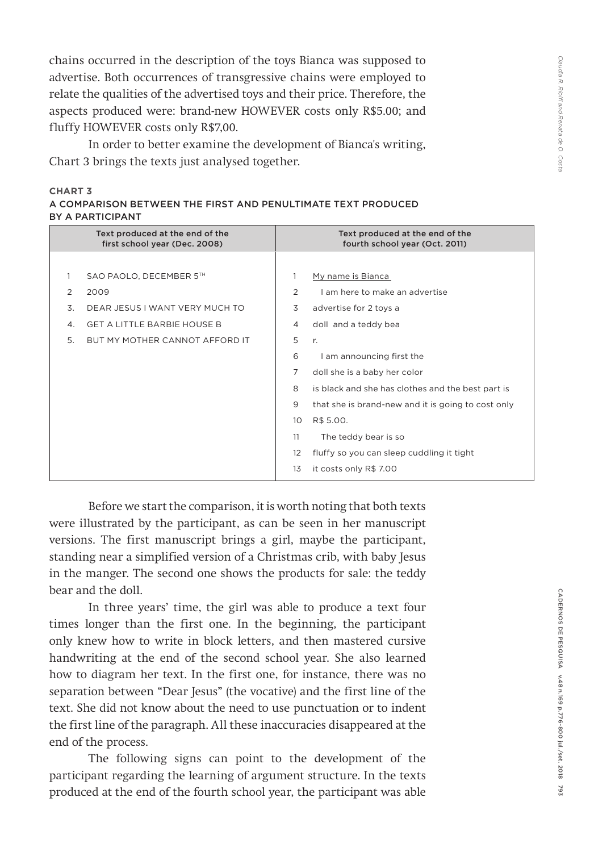chains occurred in the description of the toys Bianca was supposed to advertise. Both occurrences of transgressive chains were employed to relate the qualities of the advertised toys and their price. Therefore, the aspects produced were: brand-new HOWEVER costs only R\$5.00; and fluffy HOWEVER costs only R\$7,00.

In order to better examine the development of Bianca's writing, Chart 3 brings the texts just analysed together.

| <b>CHART 3</b>   |                                                              |
|------------------|--------------------------------------------------------------|
|                  | A COMPARISON BETWEEN THE FIRST AND PENULTIMATE TEXT PRODUCED |
| BY A PARTICIPANT |                                                              |

|    | Text produced at the end of the<br>first school year (Dec. 2008) |                | Text produced at the end of the<br>fourth school year (Oct. 2011) |
|----|------------------------------------------------------------------|----------------|-------------------------------------------------------------------|
|    |                                                                  |                |                                                                   |
| 1. | SAO PAOLO, DECEMBER 5TH                                          |                | My name is Bianca                                                 |
| 2  | 2009                                                             | 2              | Lam here to make an advertise                                     |
| 3  | DEAR JESUS I WANT VERY MUCH TO                                   | 3              | advertise for 2 toys a                                            |
| 4. | <b>GET A LITTLE BARBIE HOUSE B</b>                               | $\overline{4}$ | doll and a teddy bea                                              |
| 5. | BUT MY MOTHER CANNOT AFFORD IT                                   | 5              | r.                                                                |
|    |                                                                  | 6              | I am announcing first the                                         |
|    |                                                                  | 7              | doll she is a baby her color                                      |
|    |                                                                  | 8              | is black and she has clothes and the best part is                 |
|    |                                                                  | 9              | that she is brand-new and it is going to cost only                |
|    |                                                                  | 10             | R\$ 5.00.                                                         |
|    |                                                                  | 11             | The teddy bear is so                                              |
|    |                                                                  | 12             | fluffy so you can sleep cuddling it tight                         |
|    |                                                                  | 13             | it costs only R\$ 7.00                                            |

Before we start the comparison, it is worth noting that both texts were illustrated by the participant, as can be seen in her manuscript versions. The first manuscript brings a girl, maybe the participant, standing near a simplified version of a Christmas crib, with baby Jesus in the manger. The second one shows the products for sale: the teddy bear and the doll.

In three years' time, the girl was able to produce a text four times longer than the first one. In the beginning, the participant only knew how to write in block letters, and then mastered cursive handwriting at the end of the second school year. She also learned how to diagram her text. In the first one, for instance, there was no separation between "Dear Jesus" (the vocative) and the first line of the text. She did not know about the need to use punctuation or to indent the first line of the paragraph. All these inaccuracies disappeared at the end of the process.

The following signs can point to the development of the participant regarding the learning of argument structure. In the texts produced at the end of the fourth school year, the participant was able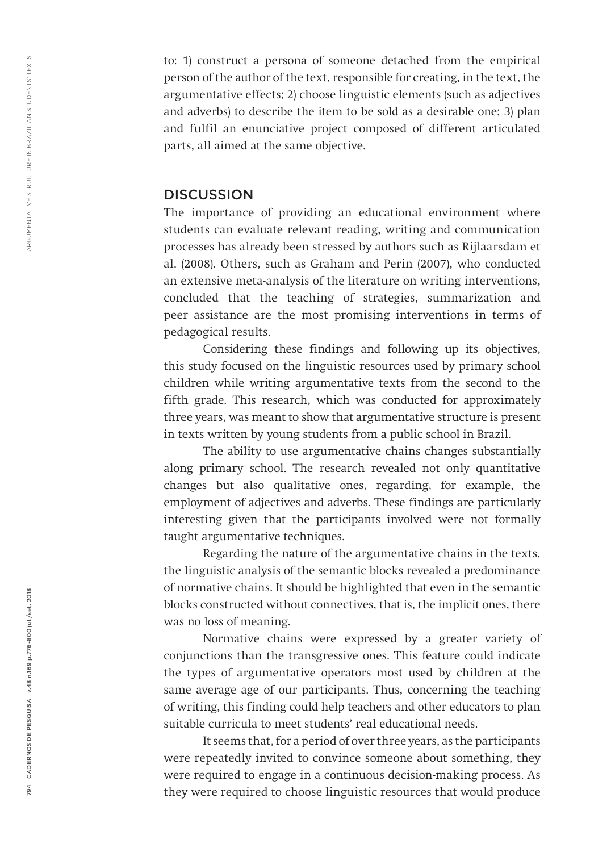to: 1) construct a persona of someone detached from the empirical person of the author of the text, responsible for creating, in the text, the argumentative effects; 2) choose linguistic elements (such as adjectives and adverbs) to describe the item to be sold as a desirable one; 3) plan and fulfil an enunciative project composed of different articulated parts, all aimed at the same objective.

## **DISCUSSION**

The importance of providing an educational environment where students can evaluate relevant reading, writing and communication processes has already been stressed by authors such as Rijlaarsdam et al. (2008). Others, such as Graham and Perin (2007), who conducted an extensive meta-analysis of the literature on writing interventions, concluded that the teaching of strategies, summarization and peer assistance are the most promising interventions in terms of pedagogical results.

Considering these findings and following up its objectives, this study focused on the linguistic resources used by primary school children while writing argumentative texts from the second to the fifth grade. This research, which was conducted for approximately three years, was meant to show that argumentative structure is present in texts written by young students from a public school in Brazil.

The ability to use argumentative chains changes substantially along primary school. The research revealed not only quantitative changes but also qualitative ones, regarding, for example, the employment of adjectives and adverbs. These findings are particularly interesting given that the participants involved were not formally taught argumentative techniques.

Regarding the nature of the argumentative chains in the texts, the linguistic analysis of the semantic blocks revealed a predominance of normative chains. It should be highlighted that even in the semantic blocks constructed without connectives, that is, the implicit ones, there was no loss of meaning.

Normative chains were expressed by a greater variety of conjunctions than the transgressive ones. This feature could indicate the types of argumentative operators most used by children at the same average age of our participants. Thus, concerning the teaching of writing, this finding could help teachers and other educators to plan suitable curricula to meet students' real educational needs.

It seems that, for a period of over three years, as the participants were repeatedly invited to convince someone about something, they were required to engage in a continuous decision-making process. As they were required to choose linguistic resources that would produce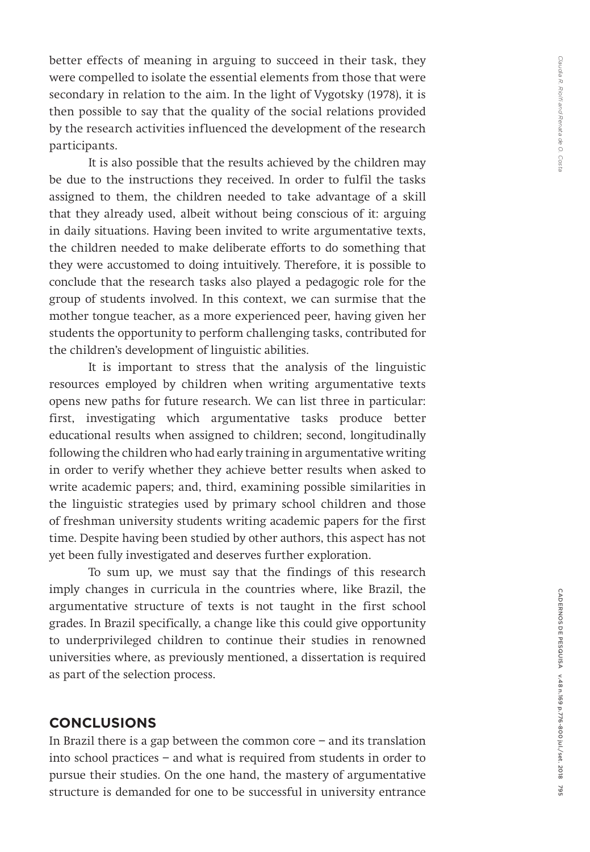better effects of meaning in arguing to succeed in their task, they were compelled to isolate the essential elements from those that were secondary in relation to the aim. In the light of Vygotsky (1978), it is then possible to say that the quality of the social relations provided by the research activities influenced the development of the research participants.

It is also possible that the results achieved by the children may be due to the instructions they received. In order to fulfil the tasks assigned to them, the children needed to take advantage of a skill that they already used, albeit without being conscious of it: arguing in daily situations. Having been invited to write argumentative texts, the children needed to make deliberate efforts to do something that they were accustomed to doing intuitively. Therefore, it is possible to conclude that the research tasks also played a pedagogic role for the group of students involved. In this context, we can surmise that the mother tongue teacher, as a more experienced peer, having given her students the opportunity to perform challenging tasks, contributed for the children's development of linguistic abilities.

It is important to stress that the analysis of the linguistic resources employed by children when writing argumentative texts opens new paths for future research. We can list three in particular: first, investigating which argumentative tasks produce better educational results when assigned to children; second, longitudinally following the children who had early training in argumentative writing in order to verify whether they achieve better results when asked to write academic papers; and, third, examining possible similarities in the linguistic strategies used by primary school children and those of freshman university students writing academic papers for the first time. Despite having been studied by other authors, this aspect has not yet been fully investigated and deserves further exploration.

To sum up, we must say that the findings of this research imply changes in curricula in the countries where, like Brazil, the argumentative structure of texts is not taught in the first school grades. In Brazil specifically, a change like this could give opportunity to underprivileged children to continue their studies in renowned universities where, as previously mentioned, a dissertation is required as part of the selection process.

## **CONCLUSIONS**

In Brazil there is a gap between the common core − and its translation into school practices − and what is required from students in order to pursue their studies. On the one hand, the mastery of argumentative structure is demanded for one to be successful in university entrance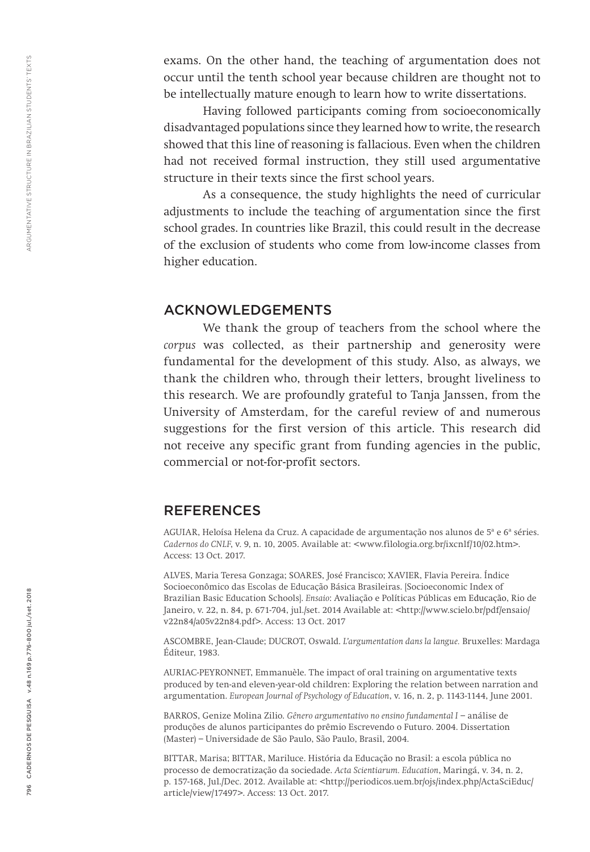exams. On the other hand, the teaching of argumentation does not occur until the tenth school year because children are thought not to be intellectually mature enough to learn how to write dissertations.

Having followed participants coming from socioeconomically disadvantaged populations since they learned how to write, the research showed that this line of reasoning is fallacious. Even when the children had not received formal instruction, they still used argumentative structure in their texts since the first school years.

As a consequence, the study highlights the need of curricular adjustments to include the teaching of argumentation since the first school grades. In countries like Brazil, this could result in the decrease of the exclusion of students who come from low-income classes from higher education.

## ACKNOWLEDGEMENTS

We thank the group of teachers from the school where the *corpus* was collected, as their partnership and generosity were fundamental for the development of this study. Also, as always, we thank the children who, through their letters, brought liveliness to this research. We are profoundly grateful to Tanja Janssen, from the University of Amsterdam, for the careful review of and numerous suggestions for the first version of this article. This research did not receive any specific grant from funding agencies in the public, commercial or not-for-profit sectors.

## **REFERENCES**

AGUIAR, Heloísa Helena da Cruz. A capacidade de argumentação nos alunos de 5ª e 6ª séries. *Cadernos do CNLF*, v. 9, n. 10, 2005. Available at: <www.filologia.org.br/ixcnlf/10/02.htm>. Access: 13 Oct. 2017.

ALVES, Maria Teresa Gonzaga; SOARES, José Francisco; XAVIER, Flavia Pereira. Índice Socioeconômico das Escolas de Educação Básica Brasileiras. [Socioeconomic Index of Brazilian Basic Education Schools]. *Ensaio*: Avaliação e Políticas Públicas em Educação, Rio de Janeiro, v. 22, n. 84, p. 671-704, jul./set. 2014 Available at: <http://www.scielo.br/pdf/ensaio/ v22n84/a05v22n84.pdf>. Access: 13 Oct. 2017

ASCOMBRE, Jean-Claude; DUCROT, Oswald. *L'argumentation dans la langue.* Bruxelles: Mardaga Éditeur, 1983.

AURIAC-PEYRONNET, Emmanuèle. The impact of oral training on argumentative texts produced by ten-and eleven-year-old children: Exploring the relation between narration and argumentation. *European Journal of Psychology of Education*, v. 16, n. 2, p. 1143-1144, June 2001.

BARROS, Genize Molina Zilio. *Gênero argumentativo no ensino fundamental I* − análise de produções de alunos participantes do prêmio Escrevendo o Futuro. 2004. Dissertation (Master) − Universidade de São Paulo, São Paulo, Brasil, 2004.

BITTAR, Marisa; BITTAR, Mariluce. História da Educação no Brasil: a escola pública no processo de democratização da sociedade. *Acta Scientiarum. Education*, Maringá, v. 34, n. 2, p. 157-168, Jul./Dec. 2012. Available at: <http://periodicos.uem.br/ojs/index.php/ActaSciEduc/ article/view/17497>. Access: 13 Oct. 2017.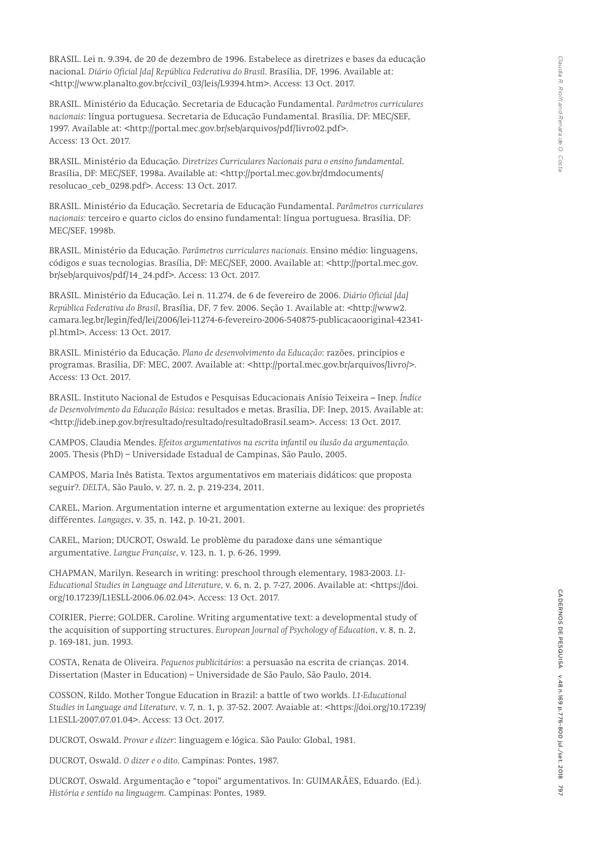BRASIL. Lei n. 9.394, de 20 de dezembro de 1996. Estabelece as diretrizes e bases da educação nacional. *Diário Oficial [da] República Federativa do Brasil.* Brasília, DF, 1996. Available at: <http://www.planalto.gov.br/ccivil\_03/leis/L9394.htm>. Access: 13 Oct. 2017.

BRASIL. Ministério da Educação. Secretaria de Educação Fundamental. *Parâmetros curriculares nacionais*: língua portuguesa. Secretaria de Educação Fundamental. Brasília, DF: MEC/SEF, 1997. Available at: <http://portal.mec.gov.br/seb/arquivos/pdf/livro02.pdf>. Access: 13 Oct. 2017.

BRASIL. Ministério da Educação. *Diretrizes Curriculares Nacionais para o ensino fundamental*. Brasília, DF: MEC/SEF, 1998a. Available at: <http://portal.mec.gov.br/dmdocuments/ resolucao\_ceb\_0298.pdf>. Access: 13 Oct. 2017.

BRASIL. Ministério da Educação. Secretaria de Educação Fundamental. *Parâmetros curriculares nacionais:* terceiro e quarto ciclos do ensino fundamental: língua portuguesa. Brasília, DF: MEC/SEF, 1998b.

BRASIL. Ministério da Educação. *Parâmetros curriculares nacionais*. Ensino médio: linguagens, códigos e suas tecnologias. Brasília, DF: MEC/SEF, 2000. Available at: <http://portal.mec.gov. br/seb/arquivos/pdf/14\_24.pdf>. Access: 13 Oct. 2017.

BRASIL. Ministério da Educação. Lei n. 11.274, de 6 de fevereiro de 2006. *Diário Oficial [da] República Federativa do Brasil*, Brasília, DF, 7 fev. 2006. Seção 1. Available at: <http://www2. camara.leg.br/legin/fed/lei/2006/lei-11274-6-fevereiro-2006-540875-publicacaooriginal-42341 pl.html>. Access: 13 Oct. 2017.

BRASIL. Ministério da Educação. *Plano de desenvolvimento da Educação*: razões, princípios e programas. Brasília, DF: MEC, 2007. Available at: <http://portal.mec.gov.br/arquivos/livro/>. Access: 13 Oct. 2017.

BRASIL. Instituto Nacional de Estudos e Pesquisas Educacionais Anísio Teixeira – Inep. *Índice de Desenvolvimento da Educação Básica*: resultados e metas. Brasília, DF: Inep, 2015. Available at: <http://ideb.inep.gov.br/resultado/resultado/resultadoBrasil.seam>. Access: 13 Oct. 2017.

CAMPOS, Claudia Mendes. *Efeitos argumentativos na escrita infantil ou ilusão da argumentação.*  2005. Thesis (PhD) − Universidade Estadual de Campinas, São Paulo, 2005.

CAMPOS, Maria Inês Batista. Textos argumentativos em materiais didáticos: que proposta seguir?. *DELTA*, São Paulo, v. 27, n. 2, p. 219-234, 2011.

CAREL, Marion. Argumentation interne et argumentation externe au lexique: des proprietés différentes. *Langages*, v. 35, n. 142, p. 10-21, 2001.

CAREL, Marion; DUCROT, Oswald. Le problème du paradoxe dans une sémantique argumentative. *Langue Française*, v. 123, n. 1, p. 6-26, 1999.

CHAPMAN, Marilyn. Research in writing: preschool through elementary, 1983-2003. *L1- Educational Studies in Language and Literature*, v. 6, n. 2, p. 7-27, 2006. Available at: <https://doi. org/10.17239/L1ESLL-2006.06.02.04>. Access: 13 Oct. 2017.

COIRIER, Pierre; GOLDER, Caroline. Writing argumentative text: a developmental study of the acquisition of supporting structures. *European Journal of Psychology of Education*, v. 8, n. 2, p. 169-181, jun. 1993.

COSTA, Renata de Oliveira. *Pequenos publicitários*: a persuasão na escrita de crianças. 2014. Dissertation (Master in Education) − Universidade de São Paulo, São Paulo, 2014.

COSSON, Rildo. Mother Tongue Education in Brazil: a battle of two worlds. *L1-Educational Studies in Language and Literature*, v. 7, n. 1, p. 37-52. 2007. Avaiable at: <https://doi.org/10.17239/ L1ESLL-2007.07.01.04>. Access: 13 Oct. 2017.

DUCROT, Oswald. *Provar e dizer*: linguagem e lógica. São Paulo: Global, 1981.

DUCROT, Oswald. *O dizer e o dito*. Campinas: Pontes, 1987.

DUCROT, Oswald. Argumentação e "topoi" argumentativos. In: GUIMARÃES, Eduardo. (Ed.). *História e sentido na linguagem*. Campinas: Pontes, 1989.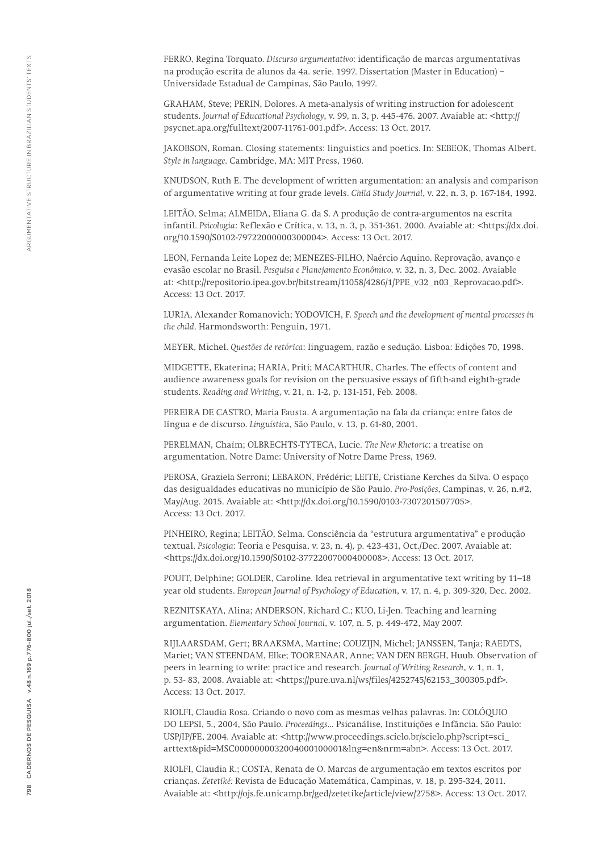FERRO, Regina Torquato. *Discurso argumentativo*: identificação de marcas argumentativas na produção escrita de alunos da 4a. serie. 1997. Dissertation (Master in Education) − Universidade Estadual de Campinas, São Paulo, 1997.

GRAHAM, Steve; PERIN, Dolores. A meta-analysis of writing instruction for adolescent students. *Journal of Educational Psychology*, v. 99, n. 3, p. 445-476. 2007. Avaiable at: <http:// psycnet.apa.org/fulltext/2007-11761-001.pdf>. Access: 13 Oct. 2017.

JAKOBSON, Roman. Closing statements: linguistics and poetics. In: SEBEOK, Thomas Albert. *Style in language*. Cambridge, MA: MIT Press, 1960.

KNUDSON, Ruth E. The development of written argumentation: an analysis and comparison of argumentative writing at four grade levels. *Child Study Journal*, v. 22, n. 3, p. 167-184, 1992.

LEITÃO, Selma; ALMEIDA, Eliana G. da S. A produção de contra-argumentos na escrita infantil. *Psicologia*: Reflexão e Crítica, v. 13, n. 3, p. 351-361. 2000. Avaiable at: <https://dx.doi. org/10.1590/S0102-79722000000300004>. Access: 13 Oct. 2017.

LEON, Fernanda Leite Lopez de; MENEZES-FILHO, Naércio Aquino. Reprovação, avanço e evasão escolar no Brasil. *Pesquisa e Planejamento Econômico*, v. 32, n. 3, Dec. 2002. Avaiable at: <http://repositorio.ipea.gov.br/bitstream/11058/4286/1/PPE\_v32\_n03\_Reprovacao.pdf>. Access: 13 Oct. 2017.

LURIA, Alexander Romanovich; YODOVICH, F. *Speech and the development of mental processes in the child*. Harmondsworth: Penguin, 1971.

MEYER, Michel. *Questões de retórica*: linguagem, razão e sedução. Lisboa: Edições 70, 1998.

MIDGETTE, Ekaterina; HARIA, Priti; MACARTHUR, Charles. The effects of content and audience awareness goals for revision on the persuasive essays of fifth-and eighth-grade students. *Reading and Writing*, v. 21, n. 1-2, p. 131-151, Feb. 2008.

PEREIRA DE CASTRO, Maria Fausta. A argumentação na fala da criança: entre fatos de língua e de discurso. *Linguístic*a, São Paulo, v. 13, p. 61-80, 2001.

PERELMAN, Chaïm; OLBRECHTS-TYTECA, Lucie. *The New Rhetoric*: a treatise on argumentation. Notre Dame: University of Notre Dame Press, 1969.

PEROSA, Graziela Serroni; LEBARON, Frédéric; LEITE, Cristiane Kerches da Silva. O espaço das desigualdades educativas no município de São Paulo. *Pro-Posições*, Campinas, v. 26, n.#2, May/Aug. 2015. Avaiable at: <http://dx.doi.org/10.1590/0103-7307201507705>. Access: 13 Oct. 2017.

PINHEIRO, Regina; LEITÃO, Selma. Consciência da "estrutura argumentativa" e produção textual. *Psicologia*: Teoria e Pesquisa, v. 23, n. 4), p. 423-431, Oct./Dec. 2007. Avaiable at: <https://dx.doi.org/10.1590/S0102-37722007000400008>. Access: 13 Oct. 2017.

POUIT, Delphine; GOLDER, Caroline. Idea retrieval in argumentative text writing by 11–18 year old students. *European Journal of Psychology of Education*, v. 17, n. 4, p. 309-320, Dec. 2002.

REZNITSKAYA, Alina; ANDERSON, Richard C.; KUO, Li-Jen. Teaching and learning argumentation. *Elementary School Journal*, v. 107, n. 5, p. 449-472, May 2007.

RIJLAARSDAM, Gert; BRAAKSMA, Martine; COUZIJN, Michel; JANSSEN, Tanja; RAEDTS, Mariet; VAN STEENDAM, Elke; TOORENAAR, Anne; VAN DEN BERGH, Huub. Observation of peers in learning to write: practice and research. *Journal of Writing Research*, v. 1, n. 1, p. 53- 83, 2008. Avaiable at: <https://pure.uva.nl/ws/files/4252745/62153\_300305.pdf>. Access: 13 Oct. 2017.

RIOLFI, Claudia Rosa. Criando o novo com as mesmas velhas palavras. In: COLÓQUIO DO LEPSI, 5., 2004, São Paulo. *Proceedings*... Psicanálise, Instituições e Infância. São Paulo: USP/IP/FE, 2004. Avaiable at: <http://www.proceedings.scielo.br/scielo.php?script=sci\_ arttext&pid=MSC0000000032004000100001&lng=en&nrm=abn>. Access: 13 Oct. 2017.

RIOLFI, Claudia R.; COSTA, Renata de O. Marcas de argumentação em textos escritos por crianças. *Zetetiké:* Revista de Educação Matemática, Campinas, v. 18, p. 295-324, 2011. Avaiable at: <http://ojs.fe.unicamp.br/ged/zetetike/article/view/2758>. Access: 13 Oct. 2017.